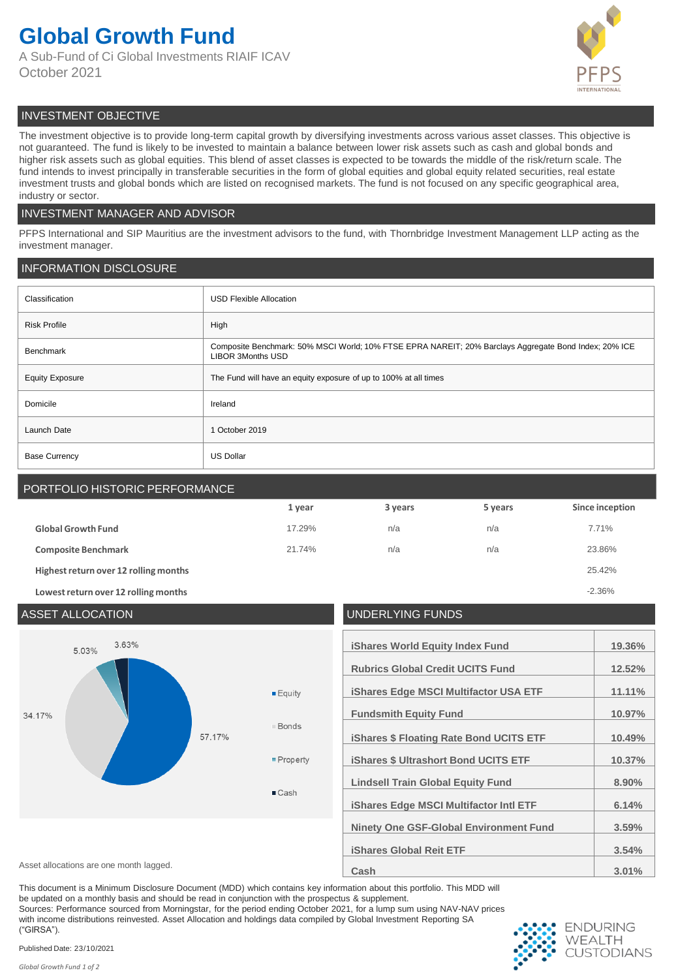# **Global Growth Fund**

A Sub-Fund of Ci Global Investments RIAIF ICAV October 2021



# INVESTMENT OBJECTIVE

The investment objective is to provide long-term capital growth by diversifying investments across various asset classes. This objective is not guaranteed. The fund is likely to be invested to maintain a balance between lower risk assets such as cash and global bonds and higher risk assets such as global equities. This blend of asset classes is expected to be towards the middle of the risk/return scale. The fund intends to invest principally in transferable securities in the form of global equities and global equity related securities, real estate investment trusts and global bonds which are listed on recognised markets. The fund is not focused on any specific geographical area, industry or sector.

## INVESTMENT MANAGER AND ADVISOR

PFPS International and SIP Mauritius are the investment advisors to the fund, with Thornbridge Investment Management LLP acting as the investment manager.

## INFORMATION DISCLOSURE

| Classification         | <b>USD Flexible Allocation</b>                                                                                                    |
|------------------------|-----------------------------------------------------------------------------------------------------------------------------------|
| <b>Risk Profile</b>    | High                                                                                                                              |
| Benchmark              | Composite Benchmark: 50% MSCI World; 10% FTSE EPRA NAREIT; 20% Barclays Aggregate Bond Index; 20% ICE<br><b>LIBOR 3Months USD</b> |
| <b>Equity Exposure</b> | The Fund will have an equity exposure of up to 100% at all times                                                                  |
| Domicile               | Ireland                                                                                                                           |
| Launch Date            | 1 October 2019                                                                                                                    |
| <b>Base Currency</b>   | <b>US Dollar</b>                                                                                                                  |

# PORTFOLIO HISTORIC PERFORMANCE

|                                       | 1 year | 3 years | 5 years | Since inception |
|---------------------------------------|--------|---------|---------|-----------------|
| <b>Global Growth Fund</b>             | 17.29% | n/a     | n/a     | 7.71%           |
| <b>Composite Benchmark</b>            | 21.74% | n/a     | n/a     | 23.86%          |
| Highest return over 12 rolling months |        |         |         | 25.42%          |
| Lowest return over 12 rolling months  |        |         |         | $-2.36%$        |

## ASSET ALLOCATION UNDERLYING FUNDS 3.63% **iShares World Equity Index Fund 19.36%** 5.03% **Rubrics Global Credit UCITS Fund 12.52% iShares Edge MSCI Multifactor USA ETF 11.11%**  $E$ guity 34.17% **Fundsmith Equity Fund 10.97% Bonds** 57 17% **iShares \$ Floating Rate Bond UCITS ETF 10.49%** Property **iShares \$ Ultrashort Bond UCITS ETF 10.37% Lindsell Train Global Equity Fund 8.90%** ■ Cash **iShares Edge MSCI Multifactor Intl ETF 6.14% Ninety One GSF-Global Environment Fund 3.59% iShares Global Reit ETF 3.54%** Asset allocations are one month lagged. **3.01% Cash Cash 3.01%**

This document is a Minimum Disclosure Document (MDD) which contains key information about this portfolio. This MDD will

be updated on a monthly basis and should be read in conjunction with the prospectus & supplement.

Sources: Performance sourced from Morningstar, for the period ending October 2021, for a lump sum using NAV-NAV prices

with income distributions reinvested. Asset Allocation and holdings data compiled by Global Investment Reporting SA ("GIRSA").